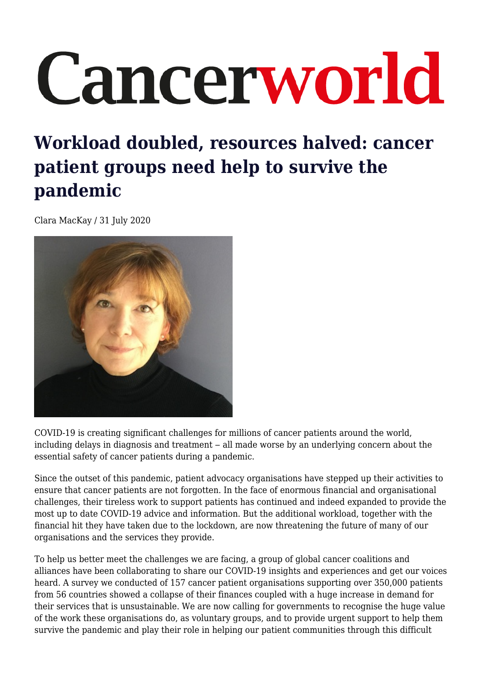# Cancerworld

## **Workload doubled, resources halved: cancer patient groups need help to survive the pandemic**

Clara MacKay / 31 July 2020



COVID-19 is creating significant challenges for millions of cancer patients around the world, including delays in diagnosis and treatment – all made worse by an underlying concern about the essential safety of cancer patients during a pandemic.

Since the outset of this pandemic, patient advocacy organisations have stepped up their activities to ensure that cancer patients are not forgotten. In the face of enormous financial and organisational challenges, their tireless work to support patients has continued and indeed expanded to provide the most up to date COVID-19 advice and information. But the additional workload, together with the financial hit they have taken due to the lockdown, are now threatening the future of many of our organisations and the services they provide.

To help us better meet the challenges we are facing, a group of global cancer coalitions and alliances have been collaborating to share our COVID-19 insights and experiences and get our voices heard. A survey we conducted of 157 cancer patient organisations supporting over 350,000 patients from 56 countries showed a collapse of their finances coupled with a huge increase in demand for their services that is unsustainable. We are now calling for governments to recognise the huge value of the work these organisations do, as voluntary groups, and to provide urgent support to help them survive the pandemic and play their role in helping our patient communities through this difficult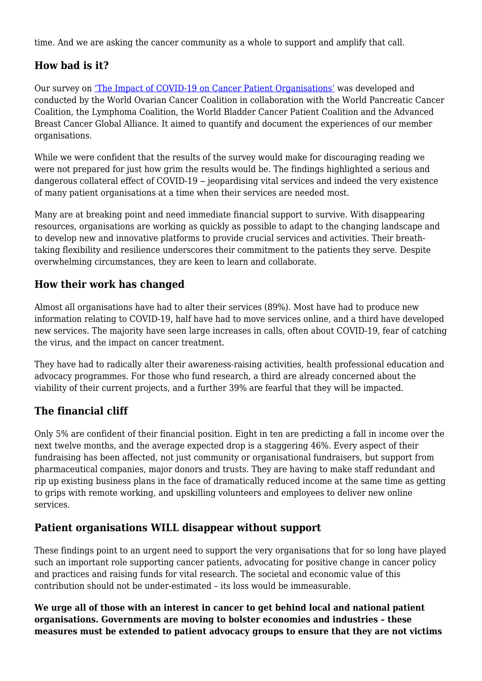time. And we are asking the cancer community as a whole to support and amplify that call.

### **How bad is it?**

Our survey on ['The Impact of COVID-19 on Cancer Patient Organisations'](https://worldovariancancercoalition.org/wp-content/uploads/2020/06/The-impact-of-COVID-19-on-Cancer-Patient-Organisations-12th-June-2020-FINAL.pdf) was developed and conducted by the World Ovarian Cancer Coalition in collaboration with the World Pancreatic Cancer Coalition, the Lymphoma Coalition, the World Bladder Cancer Patient Coalition and the Advanced Breast Cancer Global Alliance. It aimed to quantify and document the experiences of our member organisations.

While we were confident that the results of the survey would make for discouraging reading we were not prepared for just how grim the results would be. The findings highlighted a serious and dangerous collateral effect of COVID-19 – jeopardising vital services and indeed the very existence of many patient organisations at a time when their services are needed most.

Many are at breaking point and need immediate financial support to survive. With disappearing resources, organisations are working as quickly as possible to adapt to the changing landscape and to develop new and innovative platforms to provide crucial services and activities. Their breathtaking flexibility and resilience underscores their commitment to the patients they serve. Despite overwhelming circumstances, they are keen to learn and collaborate.

#### **How their work has changed**

Almost all organisations have had to alter their services (89%). Most have had to produce new information relating to COVID-19, half have had to move services online, and a third have developed new services. The majority have seen large increases in calls, often about COVID-19, fear of catching the virus, and the impact on cancer treatment.

They have had to radically alter their awareness-raising activities, health professional education and advocacy programmes. For those who fund research, a third are already concerned about the viability of their current projects, and a further 39% are fearful that they will be impacted.

### **The financial cliff**

Only 5% are confident of their financial position. Eight in ten are predicting a fall in income over the next twelve months, and the average expected drop is a staggering 46%. Every aspect of their fundraising has been affected, not just community or organisational fundraisers, but support from pharmaceutical companies, major donors and trusts. They are having to make staff redundant and rip up existing business plans in the face of dramatically reduced income at the same time as getting to grips with remote working, and upskilling volunteers and employees to deliver new online services.

#### **Patient organisations WILL disappear without support**

These findings point to an urgent need to support the very organisations that for so long have played such an important role supporting cancer patients, advocating for positive change in cancer policy and practices and raising funds for vital research. The societal and economic value of this contribution should not be under-estimated – its loss would be immeasurable.

**We urge all of those with an interest in cancer to get behind local and national patient organisations. Governments are moving to bolster economies and industries – these measures must be extended to patient advocacy groups to ensure that they are not victims**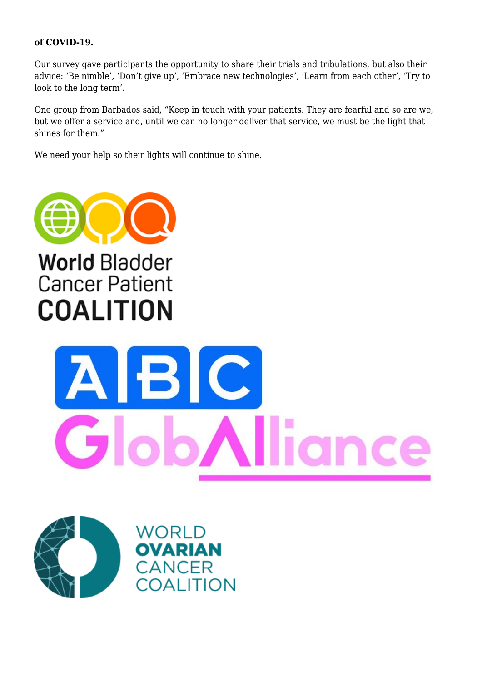#### **of COVID-19.**

Our survey gave participants the opportunity to share their trials and tribulations, but also their advice: 'Be nimble', 'Don't give up', 'Embrace new technologies', 'Learn from each other', 'Try to look to the long term'.

One group from Barbados said, "Keep in touch with your patients. They are fearful and so are we, but we offer a service and, until we can no longer deliver that service, we must be the light that shines for them."

We need your help so their lights will continue to shine.